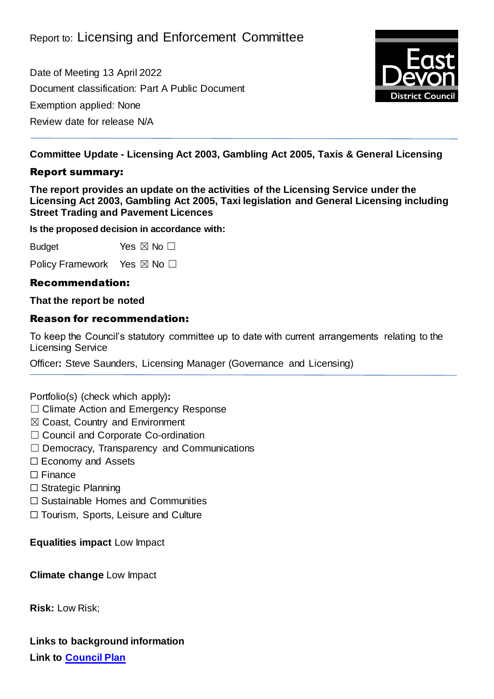Date of Meeting 13 April 2022 Document classification: Part A Public Document Exemption applied: None Review date for release N/A



**Committee Update - Licensing Act 2003, Gambling Act 2005, Taxis & General Licensing**

## Report summary:

**The report provides an update on the activities of the Licensing Service under the Licensing Act 2003, Gambling Act 2005, Taxi legislation and General Licensing including Street Trading and Pavement Licences**

**Is the proposed decision in accordance with:**

Budget Yes  $\boxtimes$  No  $\square$ 

Policy Framework Yes ⊠ No □

# Recommendation:

#### **That the report be noted**

## Reason for recommendation:

To keep the Council's statutory committee up to date with current arrangements relating to the Licensing Service

Officer**:** Steve Saunders, Licensing Manager (Governance and Licensing)

Portfolio(s) (check which apply)**:**

- ☐ Climate Action and Emergency Response
- ☒ Coast, Country and Environment
- □ Council and Corporate Co-ordination
- ☐ Democracy, Transparency and Communications
- ☐ Economy and Assets
- ☐ Finance
- ☐ Strategic Planning
- ☐ Sustainable Homes and Communities

☐ Tourism, Sports, Leisure and Culture

**Equalities impact** Low Impact

**Climate change** Low Impact

**Risk:** Low Risk;

**Links to background information Link to [Council Plan](https://eastdevon.gov.uk/councilplan/)**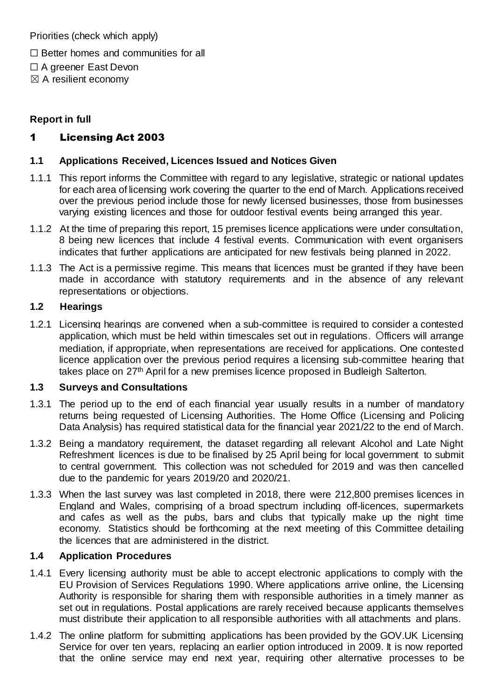Priorities (check which apply)

- ☐ Better homes and communities for all
- ☐ A greener East Devon
- $\boxtimes$  A resilient economy

## **Report in full**

# 1 Licensing Act 2003

#### **1.1 Applications Received, Licences Issued and Notices Given**

- 1.1.1 This report informs the Committee with regard to any legislative, strategic or national updates for each area of licensing work covering the quarter to the end of March. Applications received over the previous period include those for newly licensed businesses, those from businesses varying existing licences and those for outdoor festival events being arranged this year.
- 1.1.2 At the time of preparing this report, 15 premises licence applications were under consultation, 8 being new licences that include 4 festival events. Communication with event organisers indicates that further applications are anticipated for new festivals being planned in 2022.
- 1.1.3 The Act is a permissive regime. This means that licences must be granted if they have been made in accordance with statutory requirements and in the absence of any relevant representations or objections.

#### **1.2 Hearings**

1.2.1 Licensing hearings are convened when a sub-committee is required to consider a contested application, which must be held within timescales set out in regulations. Officers will arrange mediation, if appropriate, when representations are received for applications. One contested licence application over the previous period requires a licensing sub-committee hearing that takes place on 27<sup>th</sup> April for a new premises licence proposed in Budleigh Salterton.

## **1.3 Surveys and Consultations**

- 1.3.1 The period up to the end of each financial year usually results in a number of mandatory returns being requested of Licensing Authorities. The Home Office (Licensing and Policing Data Analysis) has required statistical data for the financial year 2021/22 to the end of March.
- 1.3.2 Being a mandatory requirement, the dataset regarding all relevant Alcohol and Late Night Refreshment licences is due to be finalised by 25 April being for local government to submit to central government. This collection was not scheduled for 2019 and was then cancelled due to the pandemic for years 2019/20 and 2020/21.
- 1.3.3 When the last survey was last completed in 2018, there were 212,800 premises licences in England and Wales, comprising of a broad spectrum including off-licences, supermarkets and cafes as well as the pubs, bars and clubs that typically make up the night time economy. Statistics should be forthcoming at the next meeting of this Committee detailing the licences that are administered in the district.

## **1.4 Application Procedures**

- 1.4.1 Every licensing authority must be able to accept electronic applications to comply with the EU Provision of Services Regulations 1990. Where applications arrive online, the Licensing Authority is responsible for sharing them with responsible authorities in a timely manner as set out in regulations. Postal applications are rarely received because applicants themselves must distribute their application to all responsible authorities with all attachments and plans.
- 1.4.2 The online platform for submitting applications has been provided by the GOV.UK Licensing Service for over ten years, replacing an earlier option introduced in 2009. It is now reported that the online service may end next year, requiring other alternative processes to be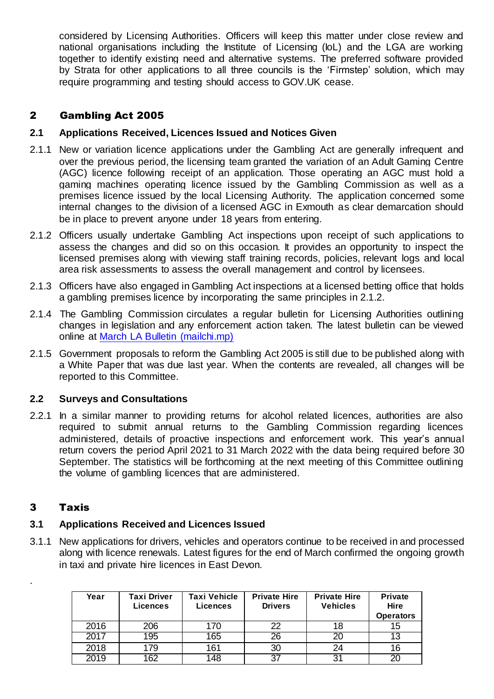considered by Licensing Authorities. Officers will keep this matter under close review and national organisations including the Institute of Licensing (IoL) and the LGA are working together to identify existing need and alternative systems. The preferred software provided by Strata for other applications to all three councils is the 'Firmstep' solution, which may require programming and testing should access to GOV.UK cease.

# 2 Gambling Act 2005

## **2.1 Applications Received, Licences Issued and Notices Given**

- 2.1.1 New or variation licence applications under the Gambling Act are generally infrequent and over the previous period, the licensing team granted the variation of an Adult Gaming Centre (AGC) licence following receipt of an application. Those operating an AGC must hold a gaming machines operating licence issued by the Gambling Commission as well as a premises licence issued by the local Licensing Authority. The application concerned some internal changes to the division of a licensed AGC in Exmouth as clear demarcation should be in place to prevent anyone under 18 years from entering.
- 2.1.2 Officers usually undertake Gambling Act inspections upon receipt of such applications to assess the changes and did so on this occasion. It provides an opportunity to inspect the licensed premises along with viewing staff training records, policies, relevant logs and local area risk assessments to assess the overall management and control by licensees.
- 2.1.3 Officers have also engaged in Gambling Act inspections at a licensed betting office that holds a gambling premises licence by incorporating the same principles in 2.1.2.
- 2.1.4 The Gambling Commission circulates a regular bulletin for Licensing Authorities outlining changes in legislation and any enforcement action taken. The latest bulletin can be viewed online at [March LA Bulletin \(mailchi.mp\)](https://mailchi.mp/gamblingcommission/licensing-authority-annual-returns-deadline-12-may-322450?e=e59e71add7)
- 2.1.5 Government proposals to reform the Gambling Act 2005 is still due to be published along with a White Paper that was due last year. When the contents are revealed, all changes will be reported to this Committee.

#### **2.2 Surveys and Consultations**

2.2.1 In a similar manner to providing returns for alcohol related licences, authorities are also required to submit annual returns to the Gambling Commission regarding licences administered, details of proactive inspections and enforcement work. This year's annual return covers the period April 2021 to 31 March 2022 with the data being required before 30 September. The statistics will be forthcoming at the next meeting of this Committee outlining the volume of gambling licences that are administered.

## 3 Taxis

.

## **3.1 Applications Received and Licences Issued**

3.1.1 New applications for drivers, vehicles and operators continue to be received in and processed along with licence renewals. Latest figures for the end of March confirmed the ongoing growth in taxi and private hire licences in East Devon.

| Year | <b>Taxi Driver</b><br><b>Licences</b> | <b>Taxi Vehicle</b><br><b>Licences</b> | <b>Private Hire</b><br><b>Drivers</b> | <b>Private Hire</b><br><b>Vehicles</b> | <b>Private</b><br>Hire<br><b>Operators</b> |
|------|---------------------------------------|----------------------------------------|---------------------------------------|----------------------------------------|--------------------------------------------|
| 2016 | 206                                   | 170                                    | 22                                    | 18                                     | 15                                         |
| 2017 | 195                                   | 165                                    | 26                                    | 20                                     | 13                                         |
| 2018 | 179                                   | 161                                    | 30                                    | 24                                     |                                            |
| 2019 | 162                                   | 148                                    | 27                                    | 31                                     | 20                                         |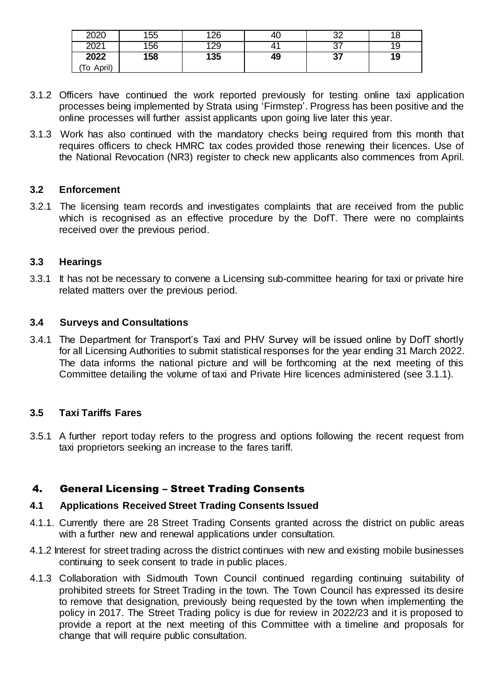| 2020          | 155 | 126 | 40. | nn<br>ັ             |    |
|---------------|-----|-----|-----|---------------------|----|
| റ∩റ4<br>ZUZ . | 156 | 129 |     | $\sim$<br><u>J1</u> | 19 |
| 2022          | 158 | 135 | 49  | ^7<br>J1            | 19 |
| April)<br>To  |     |     |     |                     |    |

- 3.1.2 Officers have continued the work reported previously for testing online taxi application processes being implemented by Strata using 'Firmstep'. Progress has been positive and the online processes will further assist applicants upon going live later this year.
- 3.1.3 Work has also continued with the mandatory checks being required from this month that requires officers to check HMRC tax codes provided those renewing their licences. Use of the National Revocation (NR3) register to check new applicants also commences from April.

#### **3.2 Enforcement**

3.2.1 The licensing team records and investigates complaints that are received from the public which is recognised as an effective procedure by the DofT. There were no complaints received over the previous period.

#### **3.3 Hearings**

3.3.1 It has not be necessary to convene a Licensing sub-committee hearing for taxi or private hire related matters over the previous period.

#### **3.4 Surveys and Consultations**

3.4.1 The Department for Transport's Taxi and PHV Survey will be issued online by DofT shortly for all Licensing Authorities to submit statistical responses for the year ending 31 March 2022. The data informs the national picture and will be forthcoming at the next meeting of this Committee detailing the volume of taxi and Private Hire licences administered (see 3.1.1).

## **3.5 Taxi Tariffs Fares**

3.5.1 A further report today refers to the progress and options following the recent request from taxi proprietors seeking an increase to the fares tariff.

## 4. General Licensing – Street Trading Consents

#### **4.1 Applications Received Street Trading Consents Issued**

- 4.1.1. Currently there are 28 Street Trading Consents granted across the district on public areas with a further new and renewal applications under consultation.
- 4.1.2 Interest for street trading across the district continues with new and existing mobile businesses continuing to seek consent to trade in public places.
- 4.1.3 Collaboration with Sidmouth Town Council continued regarding continuing suitability of prohibited streets for Street Trading in the town. The Town Council has expressed its desire to remove that designation, previously being requested by the town when implementing the policy in 2017. The Street Trading policy is due for review in 2022/23 and it is proposed to provide a report at the next meeting of this Committee with a timeline and proposals for change that will require public consultation.